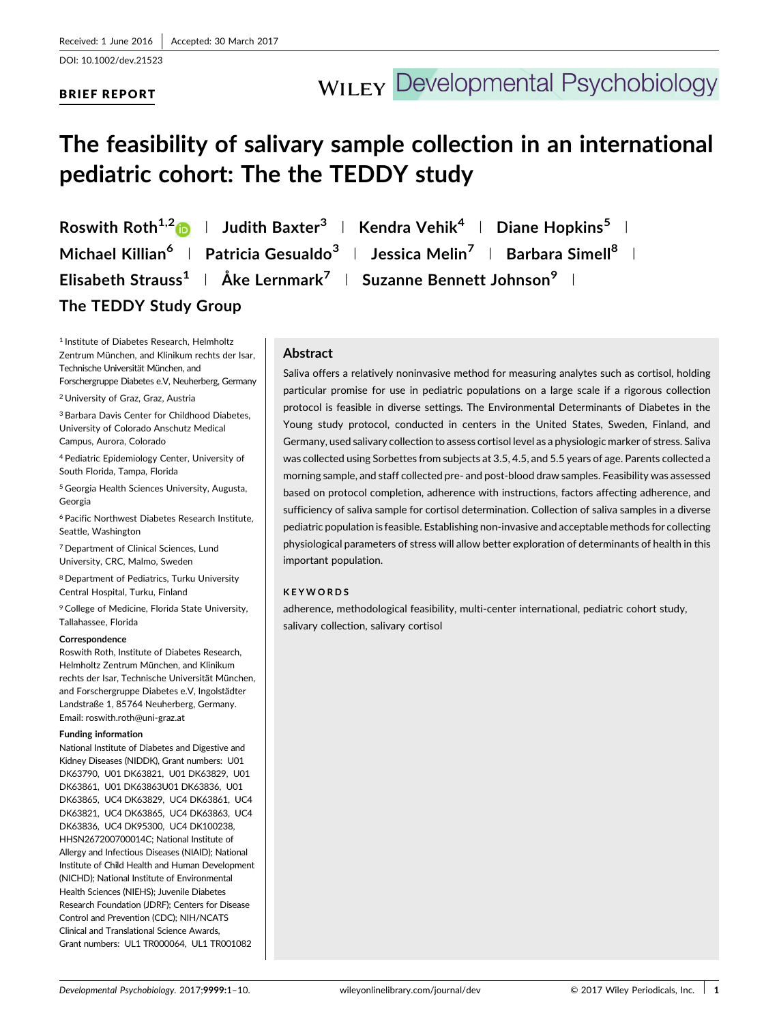## BRIEF REPORT

## The feasibility of salivary sample collection in an international pediatric cohort: The the TEDDY study

Roswith Roth<sup>1,2</sup> | Judith Baxter<sup>3</sup> | Kendra Vehik<sup>4</sup> | Diane Hopkins<sup>5</sup> | Michael Killian<sup>6</sup> | Patricia Gesualdo<sup>3</sup> | Jessica Melin<sup>7</sup> | Barbara Simell<sup>8</sup> | Elisabeth Strauss<sup>1</sup> | Åke Lernmark<sup>7</sup> | Suzanne Bennett Johnson<sup>9</sup> | The TEDDY Study Group

<sup>1</sup> Institute of Diabetes Research, Helmholtz Zentrum München, and Klinikum rechts der Isar, Technische Universität München, and Forschergruppe Diabetes e.V, Neuherberg, Germany

<sup>2</sup> University of Graz, Graz, Austria

<sup>3</sup> Barbara Davis Center for Childhood Diabetes, University of Colorado Anschutz Medical Campus, Aurora, Colorado

<sup>4</sup> Pediatric Epidemiology Center, University of South Florida, Tampa, Florida

<sup>5</sup> Georgia Health Sciences University, Augusta, Georgia

<sup>6</sup> Pacific Northwest Diabetes Research Institute, Seattle, Washington

<sup>7</sup> Department of Clinical Sciences, Lund University, CRC, Malmo, Sweden

<sup>8</sup> Department of Pediatrics, Turku University Central Hospital, Turku, Finland

9College of Medicine, Florida State University, Tallahassee, Florida

#### **Correspondence**

Roswith Roth, Institute of Diabetes Research, Helmholtz Zentrum München, and Klinikum rechts der Isar, Technische Universität München, and Forschergruppe Diabetes e.V, Ingolstädter Landstraße 1, 85764 Neuherberg, Germany. Email: roswith.roth@uni-graz.at

#### Funding information

National Institute of Diabetes and Digestive and Kidney Diseases (NIDDK), Grant numbers: U01 DK63790, U01 DK63821, U01 DK63829, U01 DK63861, U01 DK63863U01 DK63836, U01 DK63865, UC4 DK63829, UC4 DK63861, UC4 DK63821, UC4 DK63865, UC4 DK63863, UC4 DK63836, UC4 DK95300, UC4 DK100238, HHSN267200700014C; National Institute of Allergy and Infectious Diseases (NIAID); National Institute of Child Health and Human Development (NICHD); National Institute of Environmental Health Sciences (NIEHS); Juvenile Diabetes Research Foundation (JDRF); Centers for Disease Control and Prevention (CDC); NIH/NCATS Clinical and Translational Science Awards, Grant numbers: UL1 TR000064, UL1 TR001082

### Abstract

Saliva offers a relatively noninvasive method for measuring analytes such as cortisol, holding particular promise for use in pediatric populations on a large scale if a rigorous collection protocol is feasible in diverse settings. The Environmental Determinants of Diabetes in the Young study protocol, conducted in centers in the United States, Sweden, Finland, and Germany, used salivary collection to assess cortisol level as a physiologic marker of stress. Saliva was collected using Sorbettes from subjects at 3.5, 4.5, and 5.5 years of age. Parents collected a morning sample, and staff collected pre- and post-blood draw samples. Feasibility was assessed based on protocol completion, adherence with instructions, factors affecting adherence, and sufficiency of saliva sample for cortisol determination. Collection of saliva samples in a diverse pediatric population is feasible. Establishing non-invasive and acceptable methods for collecting physiological parameters of stress will allow better exploration of determinants of health in this important population.

#### KEYWORDS

adherence, methodological feasibility, multi-center international, pediatric cohort study, salivary collection, salivary cortisol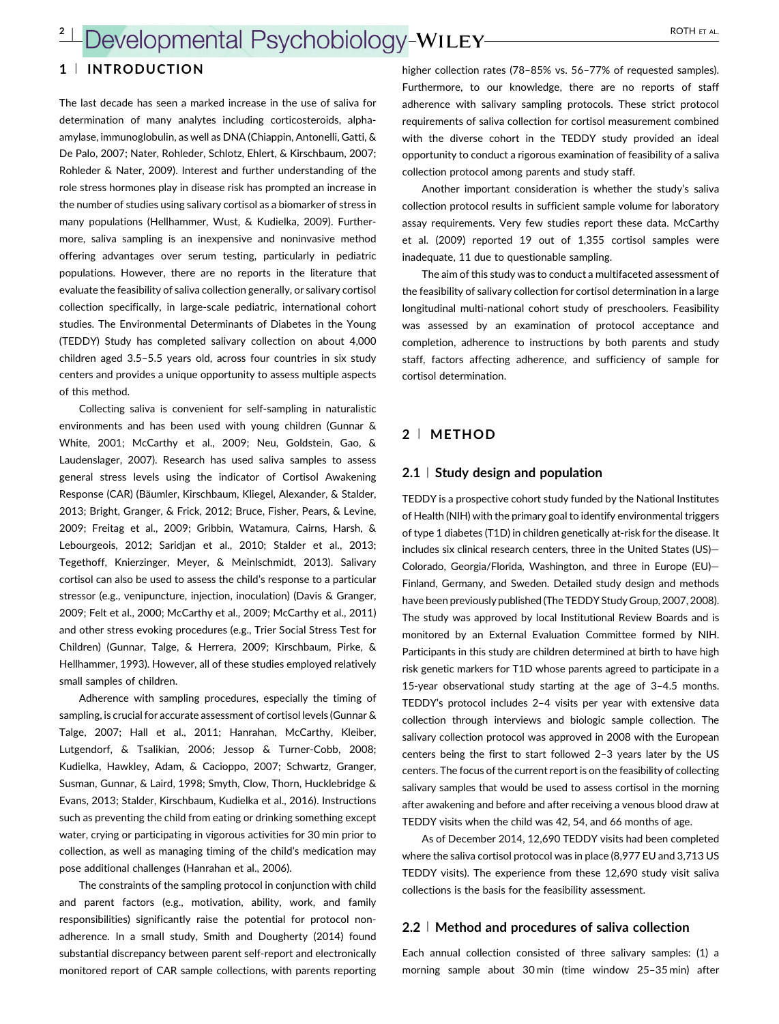# <sup>2</sup> Developmental Psychobiology-WILEY-ALLEY

### 1 <sup>|</sup> INTRODUCTION

The last decade has seen a marked increase in the use of saliva for determination of many analytes including corticosteroids, alphaamylase, immunoglobulin, as well as DNA (Chiappin, Antonelli, Gatti, & De Palo, [2007;](#page-6-0) Nater, Rohleder, Schlotz, Ehlert, & Kirschbaum, [2007;](#page-7-0) Rohleder & Nater, [2009](#page-7-0)). Interest and further understanding of the role stress hormones play in disease risk has prompted an increase in the number of studies using salivary cortisol as a biomarker of stress in many populations (Hellhammer, Wust, & Kudielka, [2009\)](#page-6-0). Furthermore, saliva sampling is an inexpensive and noninvasive method offering advantages over serum testing, particularly in pediatric populations. However, there are no reports in the literature that evaluate the feasibility of saliva collection generally, or salivary cortisol collection specifically, in large-scale pediatric, international cohort studies. The Environmental Determinants of Diabetes in the Young (TEDDY) Study has completed salivary collection on about 4,000 children aged 3.5–5.5 years old, across four countries in six study centers and provides a unique opportunity to assess multiple aspects of this method.

Collecting saliva is convenient for self-sampling in naturalistic environments and has been used with young children (Gunnar & White, [2001](#page-6-0); McCarthy et al., [2009;](#page-6-0) Neu, Goldstein, Gao, & Laudenslager, [2007](#page-7-0)). Research has used saliva samples to assess general stress levels using the indicator of Cortisol Awakening Response (CAR) (Bäumler, Kirschbaum, Kliegel, Alexander, & Stalder, [2013;](#page-6-0) Bright, Granger, & Frick, [2012;](#page-6-0) Bruce, Fisher, Pears, & Levine, [2009;](#page-6-0) Freitag et al., [2009;](#page-6-0) Gribbin, Watamura, Cairns, Harsh, & Lebourgeois, [2012](#page-6-0); Saridjan et al., [2010;](#page-7-0) Stalder et al., [2013;](#page-7-0) Tegethoff, Knierzinger, Meyer, & Meinlschmidt, [2013\)](#page-7-0). Salivary cortisol can also be used to assess the child's response to a particular stressor (e.g., venipuncture, injection, inoculation) (Davis & Granger, [2009;](#page-6-0) Felt et al., [2000;](#page-6-0) McCarthy et al., [2009;](#page-6-0) McCarthy et al., [2011\)](#page-6-0) and other stress evoking procedures (e.g., Trier Social Stress Test for Children) (Gunnar, Talge, & Herrera, [2009;](#page-6-0) Kirschbaum, Pirke, & Hellhammer, [1993](#page-6-0)). However, all of these studies employed relatively small samples of children.

Adherence with sampling procedures, especially the timing of sampling, is crucial for accurate assessment of cortisol levels (Gunnar & Talge, [2007;](#page-6-0) Hall et al., [2011](#page-6-0); Hanrahan, McCarthy, Kleiber, Lutgendorf, & Tsalikian, [2006](#page-6-0); Jessop & Turner-Cobb, [2008;](#page-6-0) Kudielka, Hawkley, Adam, & Cacioppo, [2007;](#page-6-0) Schwartz, Granger, Susman, Gunnar, & Laird, [1998;](#page-7-0) Smyth, Clow, Thorn, Hucklebridge & Evans, [2013;](#page-7-0) Stalder, Kirschbaum, Kudielka et al., [2016\)](#page-7-0). Instructions such as preventing the child from eating or drinking something except water, crying or participating in vigorous activities for 30 min prior to collection, as well as managing timing of the child's medication may pose additional challenges (Hanrahan et al., [2006](#page-6-0)).

The constraints of the sampling protocol in conjunction with child and parent factors (e.g., motivation, ability, work, and family responsibilities) significantly raise the potential for protocol nonadherence. In a small study, Smith and Dougherty ([2014](#page-7-0)) found substantial discrepancy between parent self-report and electronically monitored report of CAR sample collections, with parents reporting higher collection rates (78–85% vs. 56–77% of requested samples). Furthermore, to our knowledge, there are no reports of staff adherence with salivary sampling protocols. These strict protocol requirements of saliva collection for cortisol measurement combined with the diverse cohort in the TEDDY study provided an ideal opportunity to conduct a rigorous examination of feasibility of a saliva collection protocol among parents and study staff.

Another important consideration is whether the study's saliva collection protocol results in sufficient sample volume for laboratory assay requirements. Very few studies report these data. McCarthy et al. [\(2009\)](#page-6-0) reported 19 out of 1,355 cortisol samples were inadequate, 11 due to questionable sampling.

The aim of this study was to conduct a multifaceted assessment of the feasibility of salivary collection for cortisol determination in a large longitudinal multi-national cohort study of preschoolers. Feasibility was assessed by an examination of protocol acceptance and completion, adherence to instructions by both parents and study staff, factors affecting adherence, and sufficiency of sample for cortisol determination.

## 2 <sup>|</sup> METHOD

### $2.1$  Study design and population

TEDDY is a prospective cohort study funded by the National Institutes of Health (NIH) with the primary goal to identify environmental triggers of type 1 diabetes (T1D) in children genetically at-risk for the disease. It includes six clinical research centers, three in the United States (US)— Colorado, Georgia/Florida, Washington, and three in Europe (EU)— Finland, Germany, and Sweden. Detailed study design and methods have been previously published (The TEDDY Study Group, [2007, 2008\)](#page-7-0). The study was approved by local Institutional Review Boards and is monitored by an External Evaluation Committee formed by NIH. Participants in this study are children determined at birth to have high risk genetic markers for T1D whose parents agreed to participate in a 15-year observational study starting at the age of 3–4.5 months. TEDDY's protocol includes 2–4 visits per year with extensive data collection through interviews and biologic sample collection. The salivary collection protocol was approved in 2008 with the European centers being the first to start followed 2–3 years later by the US centers. The focus of the current report is on the feasibility of collecting salivary samples that would be used to assess cortisol in the morning after awakening and before and after receiving a venous blood draw at TEDDY visits when the child was 42, 54, and 66 months of age.

As of December 2014, 12,690 TEDDY visits had been completed where the saliva cortisol protocol was in place (8,977 EU and 3,713 US TEDDY visits). The experience from these 12,690 study visit saliva collections is the basis for the feasibility assessment.

#### 2.2 <sup>|</sup> Method and procedures of saliva collection

Each annual collection consisted of three salivary samples: (1) a morning sample about 30 min (time window 25–35 min) after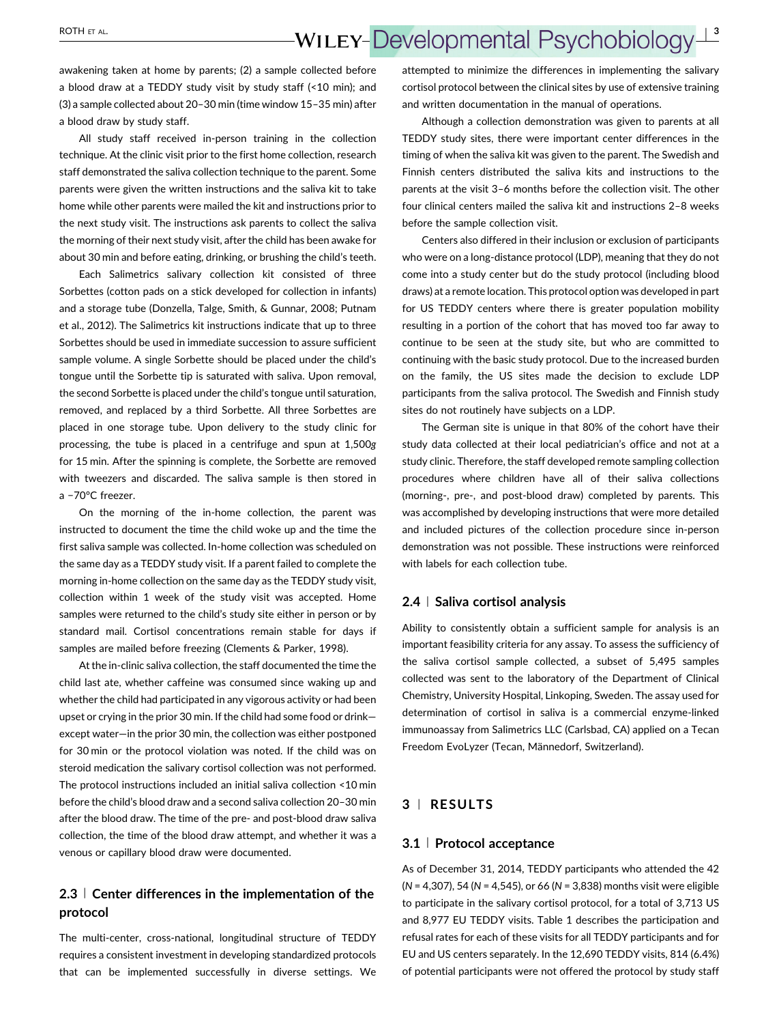# ROTH ET AL. **NOTH ET AL. NOTH ET AL. NOTH ET AL. NOTH ET AL. NOTH ET AL. DEVELOPMENTAL P** Sychobiology

awakening taken at home by parents; (2) a sample collected before a blood draw at a TEDDY study visit by study staff (<10 min); and (3) a sample collected about 20–30 min (time window 15–35 min) after a blood draw by study staff.

All study staff received in-person training in the collection technique. At the clinic visit prior to the first home collection, research staff demonstrated the saliva collection technique to the parent. Some parents were given the written instructions and the saliva kit to take home while other parents were mailed the kit and instructions prior to the next study visit. The instructions ask parents to collect the saliva the morning of their next study visit, after the child has been awake for about 30 min and before eating, drinking, or brushing the child's teeth.

Each Salimetrics salivary collection kit consisted of three Sorbettes (cotton pads on a stick developed for collection in infants) and a storage tube (Donzella, Talge, Smith, & Gunnar, [2008](#page-6-0); Putnam et al., [2012](#page-7-0)). The Salimetrics kit instructions indicate that up to three Sorbettes should be used in immediate succession to assure sufficient sample volume. A single Sorbette should be placed under the child's tongue until the Sorbette tip is saturated with saliva. Upon removal, the second Sorbette is placed under the child's tongue until saturation, removed, and replaced by a third Sorbette. All three Sorbettes are placed in one storage tube. Upon delivery to the study clinic for processing, the tube is placed in a centrifuge and spun at 1,500g for 15 min. After the spinning is complete, the Sorbette are removed with tweezers and discarded. The saliva sample is then stored in a −70°C freezer.

On the morning of the in-home collection, the parent was instructed to document the time the child woke up and the time the first saliva sample was collected. In-home collection was scheduled on the same day as a TEDDY study visit. If a parent failed to complete the morning in-home collection on the same day as the TEDDY study visit, collection within 1 week of the study visit was accepted. Home samples were returned to the child's study site either in person or by standard mail. Cortisol concentrations remain stable for days if samples are mailed before freezing (Clements & Parker, [1998](#page-6-0)).

At the in-clinic saliva collection, the staff documented the time the child last ate, whether caffeine was consumed since waking up and whether the child had participated in any vigorous activity or had been upset or crying in the prior 30 min. If the child had some food or drink except water—in the prior 30 min, the collection was either postponed for 30 min or the protocol violation was noted. If the child was on steroid medication the salivary cortisol collection was not performed. The protocol instructions included an initial saliva collection <10 min before the child's blood draw and a second saliva collection 20–30 min after the blood draw. The time of the pre- and post-blood draw saliva collection, the time of the blood draw attempt, and whether it was a venous or capillary blood draw were documented.

## 2.3 <sup>|</sup> Center differences in the implementation of the protocol

The multi-center, cross-national, longitudinal structure of TEDDY requires a consistent investment in developing standardized protocols that can be implemented successfully in diverse settings. We attempted to minimize the differences in implementing the salivary cortisol protocol between the clinical sites by use of extensive training and written documentation in the manual of operations.

Although a collection demonstration was given to parents at all TEDDY study sites, there were important center differences in the timing of when the saliva kit was given to the parent. The Swedish and Finnish centers distributed the saliva kits and instructions to the parents at the visit 3–6 months before the collection visit. The other four clinical centers mailed the saliva kit and instructions 2–8 weeks before the sample collection visit.

Centers also differed in their inclusion or exclusion of participants who were on a long-distance protocol (LDP), meaning that they do not come into a study center but do the study protocol (including blood draws) at a remote location. This protocol option was developed in part for US TEDDY centers where there is greater population mobility resulting in a portion of the cohort that has moved too far away to continue to be seen at the study site, but who are committed to continuing with the basic study protocol. Due to the increased burden on the family, the US sites made the decision to exclude LDP participants from the saliva protocol. The Swedish and Finnish study sites do not routinely have subjects on a LDP.

The German site is unique in that 80% of the cohort have their study data collected at their local pediatrician's office and not at a study clinic. Therefore, the staff developed remote sampling collection procedures where children have all of their saliva collections (morning-, pre-, and post-blood draw) completed by parents. This was accomplished by developing instructions that were more detailed and included pictures of the collection procedure since in-person demonstration was not possible. These instructions were reinforced with labels for each collection tube.

### 2.4 <sup>|</sup> Saliva cortisol analysis

Ability to consistently obtain a sufficient sample for analysis is an important feasibility criteria for any assay. To assess the sufficiency of the saliva cortisol sample collected, a subset of 5,495 samples collected was sent to the laboratory of the Department of Clinical Chemistry, University Hospital, Linkoping, Sweden. The assay used for determination of cortisol in saliva is a commercial enzyme-linked immunoassay from Salimetrics LLC (Carlsbad, CA) applied on a Tecan Freedom EvoLyzer (Tecan, Männedorf, Switzerland).

### 3 <sup>|</sup> RESULTS

#### 3.1 <sup>|</sup> Protocol acceptance

As of December 31, 2014, TEDDY participants who attended the 42 ( $N = 4,307$ ), 54 ( $N = 4,545$ ), or 66 ( $N = 3,838$ ) months visit were eligible to participate in the salivary cortisol protocol, for a total of 3,713 US and 8,977 EU TEDDY visits. Table [1](#page-3-0) describes the participation and refusal rates for each of these visits for all TEDDY participants and for EU and US centers separately. In the 12,690 TEDDY visits, 814 (6.4%) of potential participants were not offered the protocol by study staff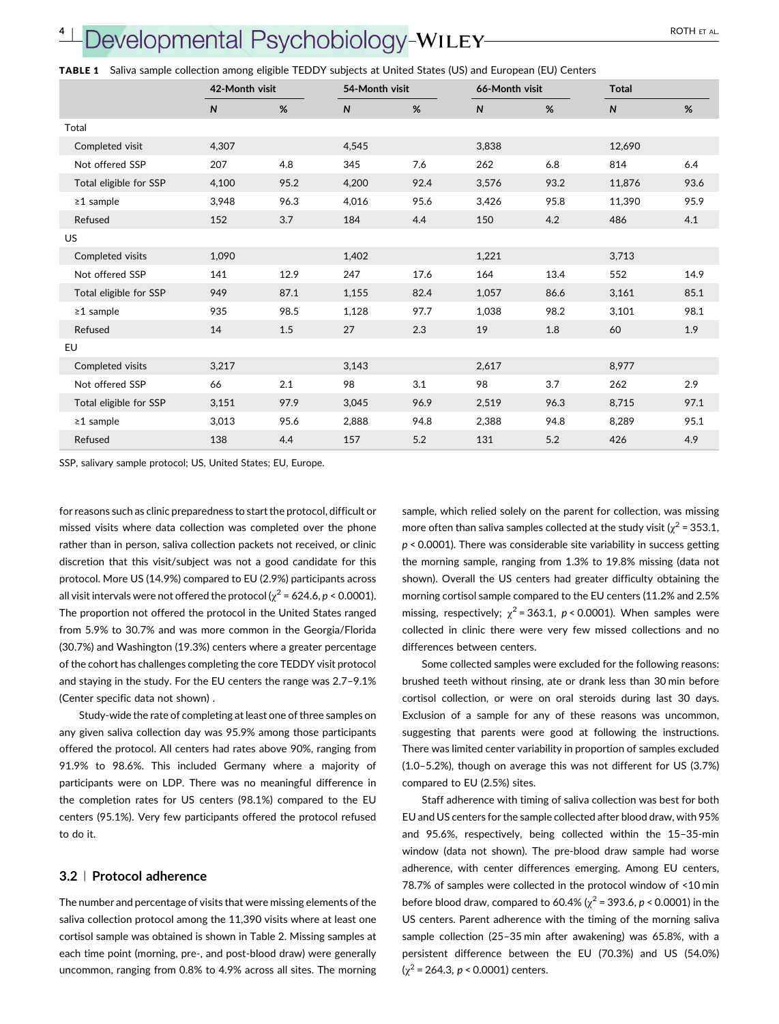# <span id="page-3-0"></span>Developmental Psychobiology-WILEY-ALLEY ROTH ET AL.

|  | TABLE 1 Saliva sample collection among eligible TEDDY subjects at United States (US) and European (EU) Centers |  |  |  |  |  |
|--|----------------------------------------------------------------------------------------------------------------|--|--|--|--|--|
|--|----------------------------------------------------------------------------------------------------------------|--|--|--|--|--|

|                        | 42-Month visit |      | 54-Month visit |      | 66-Month visit |      | <b>Total</b> |      |
|------------------------|----------------|------|----------------|------|----------------|------|--------------|------|
|                        | $\mathsf{N}$   | %    | $\mathsf{N}$   | %    | $\mathsf{N}$   | %    | $\mathsf{N}$ | %    |
| Total                  |                |      |                |      |                |      |              |      |
| Completed visit        | 4,307          |      | 4,545          |      | 3,838          |      | 12,690       |      |
| Not offered SSP        | 207            | 4.8  | 345            | 7.6  | 262            | 6.8  | 814          | 6.4  |
| Total eligible for SSP | 4,100          | 95.2 | 4,200          | 92.4 | 3,576          | 93.2 | 11,876       | 93.6 |
| $\geq$ 1 sample        | 3,948          | 96.3 | 4,016          | 95.6 | 3,426          | 95.8 | 11,390       | 95.9 |
| Refused                | 152            | 3.7  | 184            | 4.4  | 150            | 4.2  | 486          | 4.1  |
| <b>US</b>              |                |      |                |      |                |      |              |      |
| Completed visits       | 1,090          |      | 1,402          |      | 1,221          |      | 3,713        |      |
| Not offered SSP        | 141            | 12.9 | 247            | 17.6 | 164            | 13.4 | 552          | 14.9 |
| Total eligible for SSP | 949            | 87.1 | 1,155          | 82.4 | 1,057          | 86.6 | 3,161        | 85.1 |
| $\geq$ 1 sample        | 935            | 98.5 | 1,128          | 97.7 | 1,038          | 98.2 | 3,101        | 98.1 |
| Refused                | 14             | 1.5  | 27             | 2.3  | 19             | 1.8  | 60           | 1.9  |
| EU                     |                |      |                |      |                |      |              |      |
| Completed visits       | 3,217          |      | 3,143          |      | 2,617          |      | 8,977        |      |
| Not offered SSP        | 66             | 2.1  | 98             | 3.1  | 98             | 3.7  | 262          | 2.9  |
| Total eligible for SSP | 3,151          | 97.9 | 3,045          | 96.9 | 2,519          | 96.3 | 8,715        | 97.1 |
| $\geq$ 1 sample        | 3,013          | 95.6 | 2,888          | 94.8 | 2,388          | 94.8 | 8,289        | 95.1 |
| Refused                | 138            | 4.4  | 157            | 5.2  | 131            | 5.2  | 426          | 4.9  |

SSP, salivary sample protocol; US, United States; EU, Europe.

for reasons such as clinic preparedness to start the protocol, difficult or missed visits where data collection was completed over the phone rather than in person, saliva collection packets not received, or clinic discretion that this visit/subject was not a good candidate for this protocol. More US (14.9%) compared to EU (2.9%) participants across all visit intervals were not offered the protocol ( $\chi^2$  = 624.6, p < 0.0001). The proportion not offered the protocol in the United States ranged from 5.9% to 30.7% and was more common in the Georgia/Florida (30.7%) and Washington (19.3%) centers where a greater percentage of the cohort has challenges completing the core TEDDY visit protocol and staying in the study. For the EU centers the range was 2.7–9.1% (Center specific data not shown) .

Study-wide the rate of completing at least one of three samples on any given saliva collection day was 95.9% among those participants offered the protocol. All centers had rates above 90%, ranging from 91.9% to 98.6%. This included Germany where a majority of participants were on LDP. There was no meaningful difference in the completion rates for US centers (98.1%) compared to the EU centers (95.1%). Very few participants offered the protocol refused to do it.

#### 3.2 <sup>|</sup> Protocol adherence

The number and percentage of visits that were missing elements of the saliva collection protocol among the 11,390 visits where at least one cortisol sample was obtained is shown in Table [2](#page-4-0). Missing samples at each time point (morning, pre-, and post-blood draw) were generally uncommon, ranging from 0.8% to 4.9% across all sites. The morning sample, which relied solely on the parent for collection, was missing more often than saliva samples collected at the study visit ( $\chi^2$  = 353.1,  $p$  < 0.0001). There was considerable site variability in success getting the morning sample, ranging from 1.3% to 19.8% missing (data not shown). Overall the US centers had greater difficulty obtaining the morning cortisol sample compared to the EU centers (11.2% and 2.5% missing, respectively;  $\chi^2$  = 363.1, p < 0.0001). When samples were collected in clinic there were very few missed collections and no differences between centers.

Some collected samples were excluded for the following reasons: brushed teeth without rinsing, ate or drank less than 30 min before cortisol collection, or were on oral steroids during last 30 days. Exclusion of a sample for any of these reasons was uncommon, suggesting that parents were good at following the instructions. There was limited center variability in proportion of samples excluded (1.0–5.2%), though on average this was not different for US (3.7%) compared to EU (2.5%) sites.

Staff adherence with timing of saliva collection was best for both EU and US centers for the sample collected after blood draw, with 95% and 95.6%, respectively, being collected within the 15–35-min window (data not shown). The pre-blood draw sample had worse adherence, with center differences emerging. Among EU centers, 78.7% of samples were collected in the protocol window of <10 min before blood draw, compared to 60.4% ( $\chi^2$  = 393.6, p < 0.0001) in the US centers. Parent adherence with the timing of the morning saliva sample collection (25–35 min after awakening) was 65.8%, with a persistent difference between the EU (70.3%) and US (54.0%)  $(\chi^2 = 264.3, p < 0.0001)$  centers.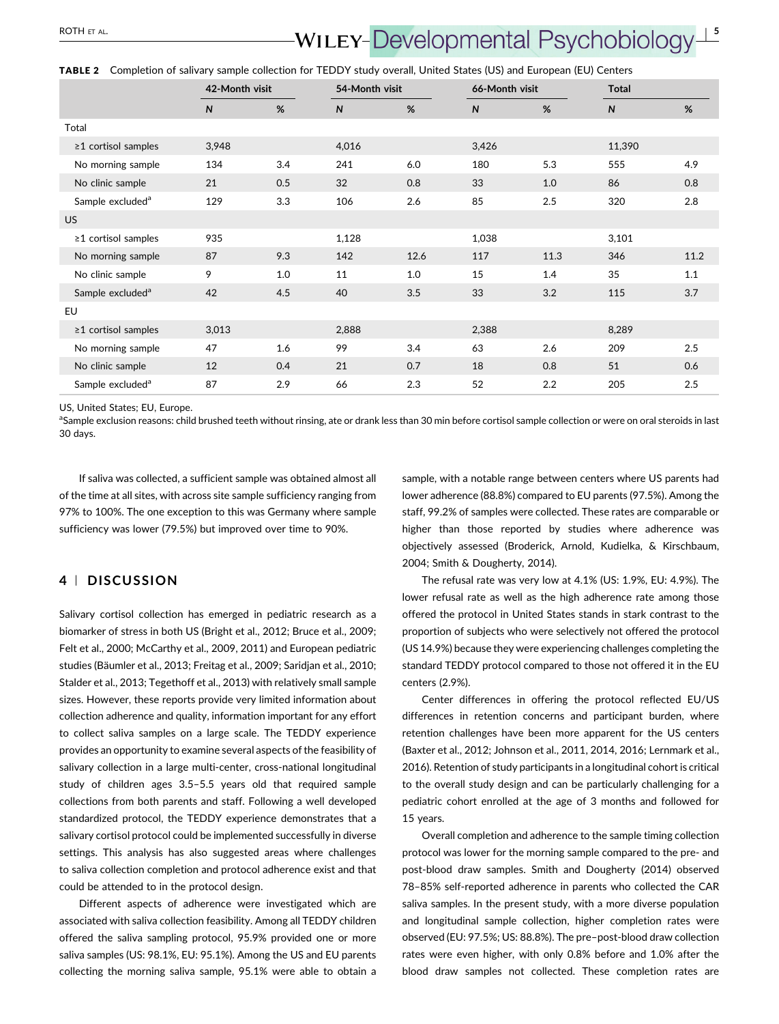# <span id="page-4-0"></span>ROTH ET AL. **NOTH ET AL. NOTH ET AL. NOTH ET AL. WILEY-Developmental Psychobiology**

TABLE 2 Completion of salivary sample collection for TEDDY study overall, United States (US) and European (EU) Centers

|                              | 42-Month visit |     | 54-Month visit |      | 66-Month visit |      | <b>Total</b> |      |
|------------------------------|----------------|-----|----------------|------|----------------|------|--------------|------|
|                              | $\mathsf{N}$   | %   | $\mathsf{N}$   | %    | $\mathsf{N}$   | %    | $\mathsf{N}$ | $\%$ |
| Total                        |                |     |                |      |                |      |              |      |
| $\geq$ 1 cortisol samples    | 3,948          |     | 4,016          |      | 3,426          |      | 11,390       |      |
| No morning sample            | 134            | 3.4 | 241            | 6.0  | 180            | 5.3  | 555          | 4.9  |
| No clinic sample             | 21             | 0.5 | 32             | 0.8  | 33             | 1.0  | 86           | 0.8  |
| Sample excluded <sup>a</sup> | 129            | 3.3 | 106            | 2.6  | 85             | 2.5  | 320          | 2.8  |
| US.                          |                |     |                |      |                |      |              |      |
| $\geq$ 1 cortisol samples    | 935            |     | 1,128          |      | 1,038          |      | 3,101        |      |
| No morning sample            | 87             | 9.3 | 142            | 12.6 | 117            | 11.3 | 346          | 11.2 |
| No clinic sample             | 9              | 1.0 | 11             | 1.0  | 15             | 1.4  | 35           | 1.1  |
| Sample excluded <sup>a</sup> | 42             | 4.5 | 40             | 3.5  | 33             | 3.2  | 115          | 3.7  |
| <b>EU</b>                    |                |     |                |      |                |      |              |      |
| $\geq$ 1 cortisol samples    | 3,013          |     | 2,888          |      | 2,388          |      | 8,289        |      |
| No morning sample            | 47             | 1.6 | 99             | 3.4  | 63             | 2.6  | 209          | 2.5  |
| No clinic sample             | 12             | 0.4 | 21             | 0.7  | 18             | 0.8  | 51           | 0.6  |
| Sample excluded <sup>a</sup> | 87             | 2.9 | 66             | 2.3  | 52             | 2.2  | 205          | 2.5  |

US, United States; EU, Europe.

aSample exclusion reasons: child brushed teeth without rinsing, ate or drank less than 30 min before cortisol sample collection or were on oral steroids in last 30 days.

If saliva was collected, a sufficient sample was obtained almost all of the time at all sites, with across site sample sufficiency ranging from 97% to 100%. The one exception to this was Germany where sample sufficiency was lower (79.5%) but improved over time to 90%.

### 4 <sup>|</sup> DISCUSSION

Salivary cortisol collection has emerged in pediatric research as a biomarker of stress in both US (Bright et al., [2012](#page-6-0); Bruce et al., [2009;](#page-6-0) Felt et al., [2000;](#page-6-0) McCarthy et al., [2009](#page-6-0), [2011](#page-6-0)) and European pediatric studies (Bäumler et al., [2013](#page-6-0); Freitag et al., [2009](#page-6-0); Saridjan et al., [2010;](#page-7-0) Stalder et al., [2013](#page-7-0); Tegethoff et al., [2013\)](#page-7-0) with relatively small sample sizes. However, these reports provide very limited information about collection adherence and quality, information important for any effort to collect saliva samples on a large scale. The TEDDY experience provides an opportunity to examine several aspects of the feasibility of salivary collection in a large multi-center, cross-national longitudinal study of children ages 3.5–5.5 years old that required sample collections from both parents and staff. Following a well developed standardized protocol, the TEDDY experience demonstrates that a salivary cortisol protocol could be implemented successfully in diverse settings. This analysis has also suggested areas where challenges to saliva collection completion and protocol adherence exist and that could be attended to in the protocol design.

Different aspects of adherence were investigated which are associated with saliva collection feasibility. Among all TEDDY children offered the saliva sampling protocol, 95.9% provided one or more saliva samples (US: 98.1%, EU: 95.1%). Among the US and EU parents collecting the morning saliva sample, 95.1% were able to obtain a

sample, with a notable range between centers where US parents had lower adherence (88.8%) compared to EU parents (97.5%). Among the staff, 99.2% of samples were collected. These rates are comparable or higher than those reported by studies where adherence was objectively assessed (Broderick, Arnold, Kudielka, & Kirschbaum, [2004](#page-6-0); Smith & Dougherty, [2014\)](#page-7-0).

The refusal rate was very low at 4.1% (US: 1.9%, EU: 4.9%). The lower refusal rate as well as the high adherence rate among those offered the protocol in United States stands in stark contrast to the proportion of subjects who were selectively not offered the protocol (US 14.9%) because they were experiencing challenges completing the standard TEDDY protocol compared to those not offered it in the EU centers (2.9%).

Center differences in offering the protocol reflected EU/US differences in retention concerns and participant burden, where retention challenges have been more apparent for the US centers (Baxter et al., [2012;](#page-6-0) Johnson et al., [2011, 2014](#page-6-0), [2016](#page-6-0); Lernmark et al., [2016](#page-6-0)). Retention of study participants in a longitudinal cohort is critical to the overall study design and can be particularly challenging for a pediatric cohort enrolled at the age of 3 months and followed for 15 years.

Overall completion and adherence to the sample timing collection protocol was lower for the morning sample compared to the pre- and post-blood draw samples. Smith and Dougherty [\(2014](#page-7-0)) observed 78–85% self-reported adherence in parents who collected the CAR saliva samples. In the present study, with a more diverse population and longitudinal sample collection, higher completion rates were observed (EU: 97.5%; US: 88.8%). The pre–post-blood draw collection rates were even higher, with only 0.8% before and 1.0% after the blood draw samples not collected. These completion rates are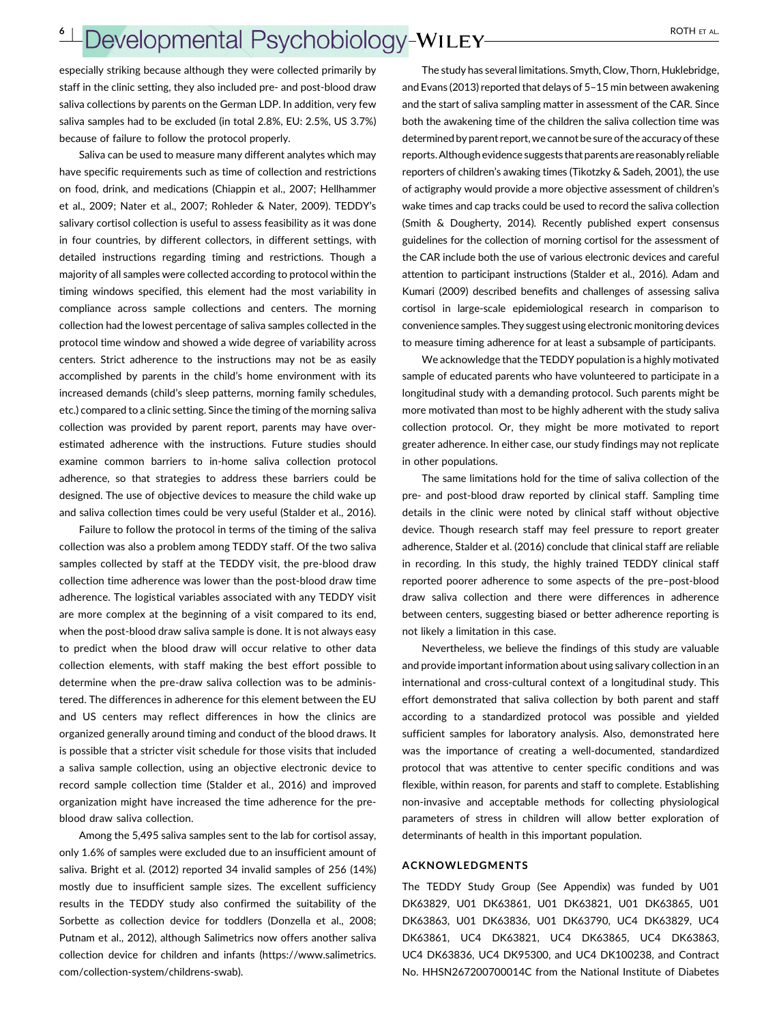# 6L Developmental Psychobiology-WILEY-CONNECTAL.

especially striking because although they were collected primarily by staff in the clinic setting, they also included pre- and post-blood draw saliva collections by parents on the German LDP. In addition, very few saliva samples had to be excluded (in total 2.8%, EU: 2.5%, US 3.7%) because of failure to follow the protocol properly.

Saliva can be used to measure many different analytes which may have specific requirements such as time of collection and restrictions on food, drink, and medications (Chiappin et al., [2007;](#page-6-0) Hellhammer et al., [2009;](#page-6-0) Nater et al., [2007;](#page-7-0) Rohleder & Nater, [2009\)](#page-7-0). TEDDY's salivary cortisol collection is useful to assess feasibility as it was done in four countries, by different collectors, in different settings, with detailed instructions regarding timing and restrictions. Though a majority of all samples were collected according to protocol within the timing windows specified, this element had the most variability in compliance across sample collections and centers. The morning collection had the lowest percentage of saliva samples collected in the protocol time window and showed a wide degree of variability across centers. Strict adherence to the instructions may not be as easily accomplished by parents in the child's home environment with its increased demands (child's sleep patterns, morning family schedules, etc.) compared to a clinic setting. Since the timing of the morning saliva collection was provided by parent report, parents may have overestimated adherence with the instructions. Future studies should examine common barriers to in-home saliva collection protocol adherence, so that strategies to address these barriers could be designed. The use of objective devices to measure the child wake up and saliva collection times could be very useful (Stalder et al., [2016\)](#page-7-0).

Failure to follow the protocol in terms of the timing of the saliva collection was also a problem among TEDDY staff. Of the two saliva samples collected by staff at the TEDDY visit, the pre-blood draw collection time adherence was lower than the post-blood draw time adherence. The logistical variables associated with any TEDDY visit are more complex at the beginning of a visit compared to its end, when the post-blood draw saliva sample is done. It is not always easy to predict when the blood draw will occur relative to other data collection elements, with staff making the best effort possible to determine when the pre-draw saliva collection was to be administered. The differences in adherence for this element between the EU and US centers may reflect differences in how the clinics are organized generally around timing and conduct of the blood draws. It is possible that a stricter visit schedule for those visits that included a saliva sample collection, using an objective electronic device to record sample collection time (Stalder et al., [2016\)](#page-7-0) and improved organization might have increased the time adherence for the preblood draw saliva collection.

Among the 5,495 saliva samples sent to the lab for cortisol assay, only 1.6% of samples were excluded due to an insufficient amount of saliva. Bright et al. ([2012\)](#page-6-0) reported 34 invalid samples of 256 (14%) mostly due to insufficient sample sizes. The excellent sufficiency results in the TEDDY study also confirmed the suitability of the Sorbette as collection device for toddlers (Donzella et al., [2008;](#page-6-0) Putnam et al., [2012\)](#page-7-0), although Salimetrics now offers another saliva collection device for children and infants ([https://www.salimetrics.](https://www.salimetrics.com/collection-system/childrens-swab) [com/collection-system/childrens-swab\)](https://www.salimetrics.com/collection-system/childrens-swab).

The study has several limitations. Smyth, Clow, Thorn, Huklebridge, and Evans ([2013](#page-7-0)) reported that delays of 5–15 min between awakening and the start of saliva sampling matter in assessment of the CAR. Since both the awakening time of the children the saliva collection time was determined by parent report, we cannot be sure of the accuracy of these reports.Although evidence suggests that parents are reasonably reliable reporters of children's awaking times (Tikotzky & Sadeh, [2001](#page-7-0)), the use of actigraphy would provide a more objective assessment of children's wake times and cap tracks could be used to record the saliva collection (Smith & Dougherty, [2014](#page-7-0)). Recently published expert consensus guidelines for the collection of morning cortisol for the assessment of the CAR include both the use of various electronic devices and careful attention to participant instructions (Stalder et al., [2016\)](#page-7-0). Adam and Kumari ([2009](#page-6-0)) described benefits and challenges of assessing saliva cortisol in large-scale epidemiological research in comparison to convenience samples. They suggest using electronic monitoring devices to measure timing adherence for at least a subsample of participants.

We acknowledge that the TEDDY population is a highly motivated sample of educated parents who have volunteered to participate in a longitudinal study with a demanding protocol. Such parents might be more motivated than most to be highly adherent with the study saliva collection protocol. Or, they might be more motivated to report greater adherence. In either case, our study findings may not replicate in other populations.

The same limitations hold for the time of saliva collection of the pre- and post-blood draw reported by clinical staff. Sampling time details in the clinic were noted by clinical staff without objective device. Though research staff may feel pressure to report greater adherence, Stalder et al. ([2016](#page-7-0)) conclude that clinical staff are reliable in recording. In this study, the highly trained TEDDY clinical staff reported poorer adherence to some aspects of the pre–post-blood draw saliva collection and there were differences in adherence between centers, suggesting biased or better adherence reporting is not likely a limitation in this case.

Nevertheless, we believe the findings of this study are valuable and provide important information about using salivary collection in an international and cross-cultural context of a longitudinal study. This effort demonstrated that saliva collection by both parent and staff according to a standardized protocol was possible and yielded sufficient samples for laboratory analysis. Also, demonstrated here was the importance of creating a well-documented, standardized protocol that was attentive to center specific conditions and was flexible, within reason, for parents and staff to complete. Establishing non-invasive and acceptable methods for collecting physiological parameters of stress in children will allow better exploration of determinants of health in this important population.

#### ACKNOWLEDGMENTS

The TEDDY Study Group (See Appendix) was funded by U01 DK63829, U01 DK63861, U01 DK63821, U01 DK63865, U01 DK63863, U01 DK63836, U01 DK63790, UC4 DK63829, UC4 DK63861, UC4 DK63821, UC4 DK63865, UC4 DK63863, UC4 DK63836, UC4 DK95300, and UC4 DK100238, and Contract No. HHSN267200700014C from the National Institute of Diabetes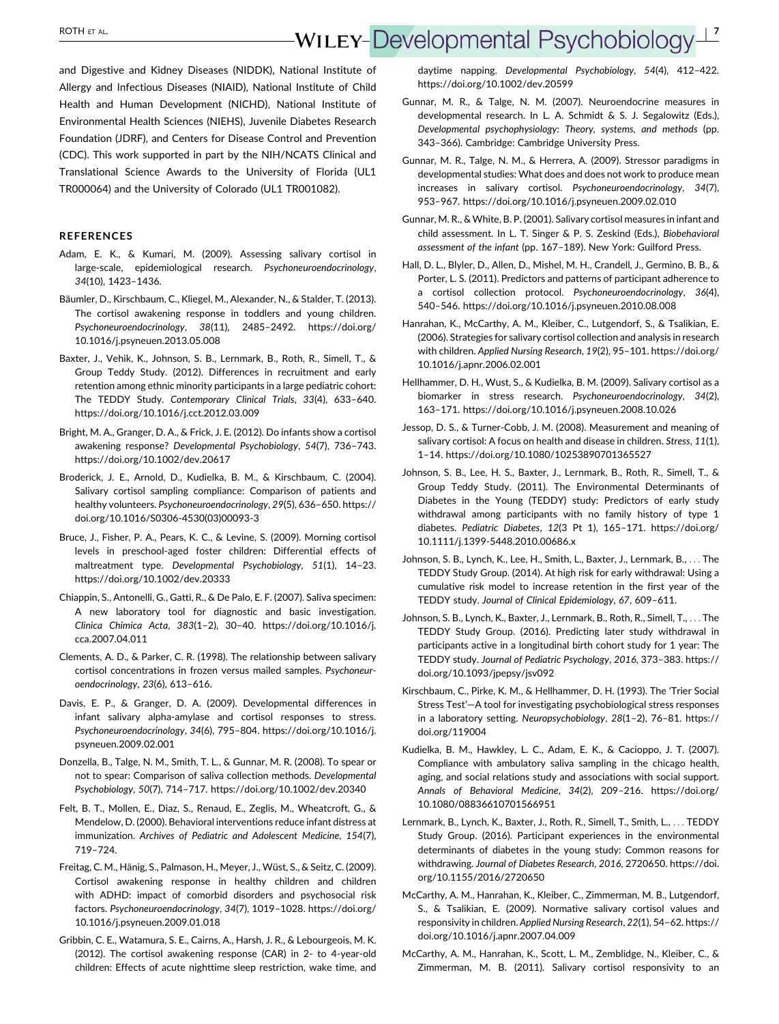## <span id="page-6-0"></span>ROTH ET AL. **NOTHET AL. NOTHET AL.**  $\overline{X}$  **NOTHET AL.**  $\overline{X}$  **NOTHET AL.**  $\overline{X}$  **NOTHET AL.**  $\overline{X}$  **NOTHET AL.**  $\overline{X}$  **NOTHET AL.**  $\overline{X}$  **NOTHET AL.**  $\overline{X}$  **NOTHET AL.**  $\overline{X}$  **NOTHET AL.**  $\overline{X}$

and Digestive and Kidney Diseases (NIDDK), National Institute of Allergy and Infectious Diseases (NIAID), National Institute of Child Health and Human Development (NICHD), National Institute of Environmental Health Sciences (NIEHS), Juvenile Diabetes Research Foundation (JDRF), and Centers for Disease Control and Prevention (CDC). This work supported in part by the NIH/NCATS Clinical and Translational Science Awards to the University of Florida (UL1 TR000064) and the University of Colorado (UL1 TR001082).

### **REFERENCES**

- Adam, E. K., & Kumari, M. (2009). Assessing salivary cortisol in large-scale, epidemiological research. Psychoneuroendocrinology, 34(10), 1423–1436.
- Bäumler, D., Kirschbaum, C., Kliegel, M., Alexander, N., & Stalder, T. (2013). The cortisol awakening response in toddlers and young children. Psychoneuroendocrinology, 38(11), 2485–2492. [https://doi.org/](https://doi.org/10.1016/j.psyneuen.2013.05.008) [10.1016/j.psyneuen.2013.05.008](https://doi.org/10.1016/j.psyneuen.2013.05.008)
- Baxter, J., Vehik, K., Johnson, S. B., Lernmark, B., Roth, R., Simell, T., & Group Teddy Study. (2012). Differences in recruitment and early retention among ethnic minority participants in a large pediatric cohort: The TEDDY Study. Contemporary Clinical Trials, 33(4), 633–640. <https://doi.org/10.1016/j.cct.2012.03.009>
- Bright, M. A., Granger, D. A., & Frick, J. E. (2012). Do infants show a cortisol awakening response? Developmental Psychobiology, 54(7), 736–743. <https://doi.org/10.1002/dev.20617>
- Broderick, J. E., Arnold, D., Kudielka, B. M., & Kirschbaum, C. (2004). Salivary cortisol sampling compliance: Comparison of patients and healthy volunteers. Psychoneuroendocrinology, 29(5), 636–650. [https://](https://doi.org/10.1016/S0306-4530(03)00093-3) [doi.org/10.1016/S0306-4530\(03\)00093-3](https://doi.org/10.1016/S0306-4530(03)00093-3)
- Bruce, J., Fisher, P. A., Pears, K. C., & Levine, S. (2009). Morning cortisol levels in preschool-aged foster children: Differential effects of maltreatment type. Developmental Psychobiology, 51(1), 14–23. <https://doi.org/10.1002/dev.20333>
- Chiappin, S., Antonelli, G., Gatti, R., & De Palo, E. F. (2007). Saliva specimen: A new laboratory tool for diagnostic and basic investigation. Clinica Chimica Acta, 383(1–2), 30–40. [https://doi.org/10.1016/j.](https://doi.org/10.1016/j.cca.2007.04.011) [cca.2007.04.011](https://doi.org/10.1016/j.cca.2007.04.011)
- Clements, A. D., & Parker, C. R. (1998). The relationship between salivary cortisol concentrations in frozen versus mailed samples. Psychoneuroendocrinology, 23(6), 613–616.
- Davis, E. P., & Granger, D. A. (2009). Developmental differences in infant salivary alpha-amylase and cortisol responses to stress. Psychoneuroendocrinology, 34(6), 795–804. [https://doi.org/10.1016/j.](https://doi.org/10.1016/j.psyneuen.2009.02.001) [psyneuen.2009.02.001](https://doi.org/10.1016/j.psyneuen.2009.02.001)
- Donzella, B., Talge, N. M., Smith, T. L., & Gunnar, M. R. (2008). To spear or not to spear: Comparison of saliva collection methods. Developmental Psychobiology, 50(7), 714–717.<https://doi.org/10.1002/dev.20340>
- Felt, B. T., Mollen, E., Diaz, S., Renaud, E., Zeglis, M., Wheatcroft, G., & Mendelow, D. (2000). Behavioral interventions reduce infant distress at immunization. Archives of Pediatric and Adolescent Medicine, 154(7), 719–724.
- Freitag, C. M., Hänig, S., Palmason, H., Meyer, J., Wüst, S., & Seitz, C. (2009). Cortisol awakening response in healthy children and children with ADHD: impact of comorbid disorders and psychosocial risk factors. Psychoneuroendocrinology, 34(7), 1019–1028. [https://doi.org/](https://doi.org/10.1016/j.psyneuen.2009.01.018) [10.1016/j.psyneuen.2009.01.018](https://doi.org/10.1016/j.psyneuen.2009.01.018)
- Gribbin, C. E., Watamura, S. E., Cairns, A., Harsh, J. R., & Lebourgeois, M. K. (2012). The cortisol awakening response (CAR) in 2- to 4-year-old children: Effects of acute nighttime sleep restriction, wake time, and

daytime napping. Developmental Psychobiology, 54(4), 412–422. <https://doi.org/10.1002/dev.20599>

- Gunnar, M. R., & Talge, N. M. (2007). Neuroendocrine measures in developmental research. In L. A. Schmidt & S. J. Segalowitz (Eds.), Developmental psychophysiology: Theory, systems, and methods (pp. 343–366). Cambridge: Cambridge University Press.
- Gunnar, M. R., Talge, N. M., & Herrera, A. (2009). Stressor paradigms in developmental studies: What does and does not work to produce mean increases in salivary cortisol. Psychoneuroendocrinology, 34(7), 953–967.<https://doi.org/10.1016/j.psyneuen.2009.02.010>
- Gunnar, M. R., &White, B. P. (2001). Salivary cortisol measures in infant and child assessment. In L. T. Singer & P. S. Zeskind (Eds.), Biobehavioral assessment of the infant (pp. 167–189). New York: Guilford Press.
- Hall, D. L., Blyler, D., Allen, D., Mishel, M. H., Crandell, J., Germino, B. B., & Porter, L. S. (2011). Predictors and patterns of participant adherence to a cortisol collection protocol. Psychoneuroendocrinology, 36(4), 540–546.<https://doi.org/10.1016/j.psyneuen.2010.08.008>
- Hanrahan, K., McCarthy, A. M., Kleiber, C., Lutgendorf, S., & Tsalikian, E. (2006). Strategies for salivary cortisol collection and analysis in research with children. Applied Nursing Research, 19(2), 95–101. [https://doi.org/](https://doi.org/10.1016/j.apnr.2006.02.001) [10.1016/j.apnr.2006.02.001](https://doi.org/10.1016/j.apnr.2006.02.001)
- Hellhammer, D. H., Wust, S., & Kudielka, B. M. (2009). Salivary cortisol as a biomarker in stress research. Psychoneuroendocrinology, 34(2), 163–171.<https://doi.org/10.1016/j.psyneuen.2008.10.026>
- Jessop, D. S., & Turner-Cobb, J. M. (2008). Measurement and meaning of salivary cortisol: A focus on health and disease in children. Stress, 11(1), 1–14.<https://doi.org/10.1080/10253890701365527>
- Johnson, S. B., Lee, H. S., Baxter, J., Lernmark, B., Roth, R., Simell, T., & Group Teddy Study. (2011). The Environmental Determinants of Diabetes in the Young (TEDDY) study: Predictors of early study withdrawal among participants with no family history of type 1 diabetes. Pediatric Diabetes, 12(3 Pt 1), 165–171. [https://doi.org/](https://doi.org/10.1111/j.1399-5448.2010.00686.x) [10.1111/j.1399-5448.2010.00686.x](https://doi.org/10.1111/j.1399-5448.2010.00686.x)
- Johnson, S. B., Lynch, K., Lee, H., Smith, L., Baxter, J., Lernmark, B., ... The TEDDY Study Group. (2014). At high risk for early withdrawal: Using a cumulative risk model to increase retention in the first year of the TEDDY study. Journal of Clinical Epidemiology, 67, 609–611.
- Johnson, S. B., Lynch, K., Baxter, J., Lernmark, B., Roth, R., Simell, T., ... The TEDDY Study Group. (2016). Predicting later study withdrawal in participants active in a longitudinal birth cohort study for 1 year: The TEDDY study. Journal of Pediatric Psychology, 2016, 373–383. [https://](https://doi.org/10.1093/jpepsy/jsv092) [doi.org/10.1093/jpepsy/jsv092](https://doi.org/10.1093/jpepsy/jsv092)
- Kirschbaum, C., Pirke, K. M., & Hellhammer, D. H. (1993). The 'Trier Social Stress Test'—A tool for investigating psychobiological stress responses in a laboratory setting. Neuropsychobiology, 28(1–2), 76–81. [https://](https://doi.org/119004) [doi.org/119004](https://doi.org/119004)
- Kudielka, B. M., Hawkley, L. C., Adam, E. K., & Cacioppo, J. T. (2007). Compliance with ambulatory saliva sampling in the chicago health, aging, and social relations study and associations with social support. Annals of Behavioral Medicine, 34(2), 209–216. [https://doi.org/](https://doi.org/10.1080/08836610701566951) [10.1080/08836610701566951](https://doi.org/10.1080/08836610701566951)
- Lernmark, B., Lynch, K., Baxter, J., Roth, R., Simell, T., Smith, L., ... TEDDY Study Group. (2016). Participant experiences in the environmental determinants of diabetes in the young study: Common reasons for withdrawing. Journal of Diabetes Research, 2016, 2720650. [https://doi.](<url href&x003D;) [org/10.1155/2016/2720650](<url href&x003D;)
- McCarthy, A. M., Hanrahan, K., Kleiber, C., Zimmerman, M. B., Lutgendorf, S., & Tsalikian, E. (2009). Normative salivary cortisol values and responsivity in children. Applied Nursing Research, 22(1), 54–62. [https://](https://doi.org/10.1016/j.apnr.2007.04.009) [doi.org/10.1016/j.apnr.2007.04.009](https://doi.org/10.1016/j.apnr.2007.04.009)
- McCarthy, A. M., Hanrahan, K., Scott, L. M., Zemblidge, N., Kleiber, C., & Zimmerman, M. B. (2011). Salivary cortisol responsivity to an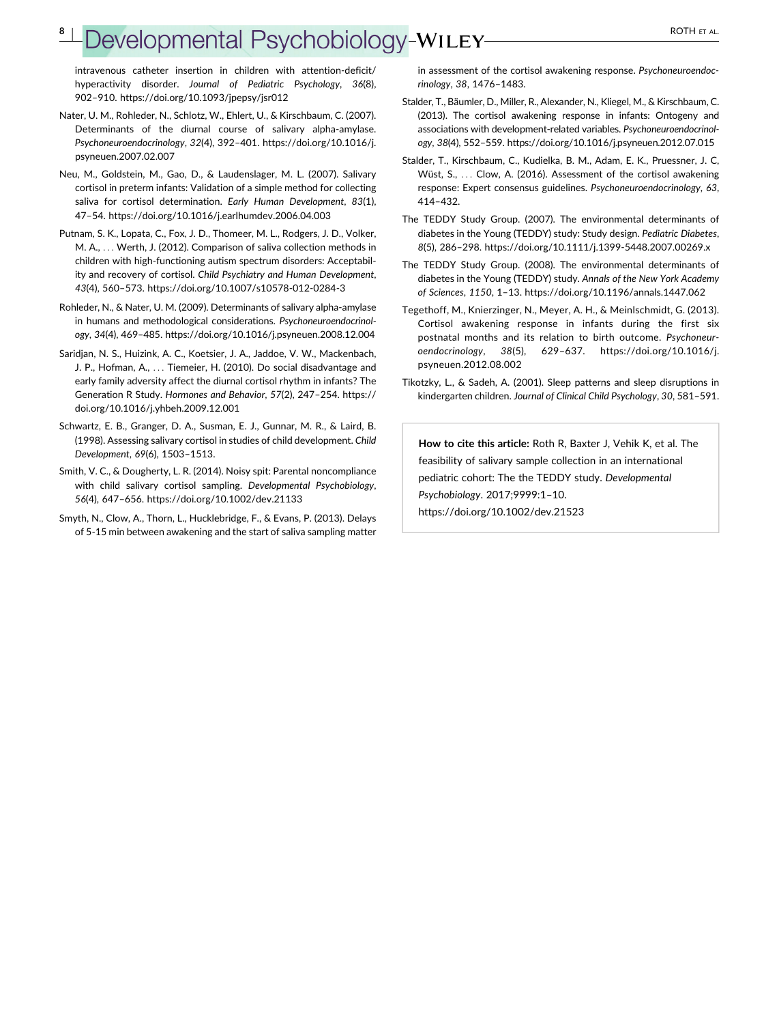# <span id="page-7-0"></span>Developmental Psychobiology-WILEY-CONNECTALL ROTH ET AL.

intravenous catheter insertion in children with attention-deficit/ hyperactivity disorder. Journal of Pediatric Psychology, 36(8), 902–910.<https://doi.org/10.1093/jpepsy/jsr012>

- Nater, U. M., Rohleder, N., Schlotz, W., Ehlert, U., & Kirschbaum, C. (2007). Determinants of the diurnal course of salivary alpha-amylase. Psychoneuroendocrinology, 32(4), 392–401. [https://doi.org/10.1016/j.](https://doi.org/10.1016/j.psyneuen.2007.02.007) [psyneuen.2007.02.007](https://doi.org/10.1016/j.psyneuen.2007.02.007)
- Neu, M., Goldstein, M., Gao, D., & Laudenslager, M. L. (2007). Salivary cortisol in preterm infants: Validation of a simple method for collecting saliva for cortisol determination. Early Human Development, 83(1), 47–54.<https://doi.org/10.1016/j.earlhumdev.2006.04.003>
- Putnam, S. K., Lopata, C., Fox, J. D., Thomeer, M. L., Rodgers, J. D., Volker, M. A., ... Werth, J. (2012). Comparison of saliva collection methods in children with high-functioning autism spectrum disorders: Acceptability and recovery of cortisol. Child Psychiatry and Human Development, 43(4), 560–573.<https://doi.org/10.1007/s10578-012-0284-3>
- Rohleder, N., & Nater, U. M. (2009). Determinants of salivary alpha-amylase in humans and methodological considerations. Psychoneuroendocrinology, 34(4), 469–485.<https://doi.org/10.1016/j.psyneuen.2008.12.004>
- Saridjan, N. S., Huizink, A. C., Koetsier, J. A., Jaddoe, V. W., Mackenbach, J. P., Hofman, A., ... Tiemeier, H. (2010). Do social disadvantage and early family adversity affect the diurnal cortisol rhythm in infants? The Generation R Study. Hormones and Behavior, 57(2), 247–254. [https://](https://doi.org/10.1016/j.yhbeh.2009.12.001) [doi.org/10.1016/j.yhbeh.2009.12.001](https://doi.org/10.1016/j.yhbeh.2009.12.001)
- Schwartz, E. B., Granger, D. A., Susman, E. J., Gunnar, M. R., & Laird, B. (1998). Assessing salivary cortisol in studies of child development. Child Development, 69(6), 1503–1513.
- Smith, V. C., & Dougherty, L. R. (2014). Noisy spit: Parental noncompliance with child salivary cortisol sampling. Developmental Psychobiology, 56(4), 647–656.<https://doi.org/10.1002/dev.21133>
- Smyth, N., Clow, A., Thorn, L., Hucklebridge, F., & Evans, P. (2013). Delays of 5-15 min between awakening and the start of saliva sampling matter

in assessment of the cortisol awakening response. Psychoneuroendocrinology, 38, 1476–1483.

- Stalder, T., Bäumler, D., Miller, R., Alexander, N., Kliegel, M., & Kirschbaum, C. (2013). The cortisol awakening response in infants: Ontogeny and associations with development-related variables. Psychoneuroendocrinology, 38(4), 552–559.<https://doi.org/10.1016/j.psyneuen.2012.07.015>
- Stalder, T., Kirschbaum, C., Kudielka, B. M., Adam, E. K., Pruessner, J. C, Wüst, S., ... Clow, A. (2016). Assessment of the cortisol awakening response: Expert consensus guidelines. Psychoneuroendocrinology, 63, 414–432.
- The TEDDY Study Group. (2007). The environmental determinants of diabetes in the Young (TEDDY) study: Study design. Pediatric Diabetes, 8(5), 286–298.<https://doi.org/10.1111/j.1399-5448.2007.00269.x>
- The TEDDY Study Group. (2008). The environmental determinants of diabetes in the Young (TEDDY) study. Annals of the New York Academy of Sciences, 1150, 1–13.<https://doi.org/10.1196/annals.1447.062>
- Tegethoff, M., Knierzinger, N., Meyer, A. H., & Meinlschmidt, G. (2013). Cortisol awakening response in infants during the first six postnatal months and its relation to birth outcome. Psychoneuroendocrinology, 38(5), 629–637. [https://doi.org/10.1016/j.](https://doi.org/10.1016/j.psyneuen.2012.08.002) [psyneuen.2012.08.002](https://doi.org/10.1016/j.psyneuen.2012.08.002)
- Tikotzky, L., & Sadeh, A. (2001). Sleep patterns and sleep disruptions in kindergarten children. Journal of Clinical Child Psychology, 30, 581–591.

How to cite this article: Roth R, Baxter J, Vehik K, et al. The feasibility of salivary sample collection in an international pediatric cohort: The the TEDDY study. Developmental Psychobiology. 2017;9999:1–10. <https://doi.org/10.1002/dev.21523>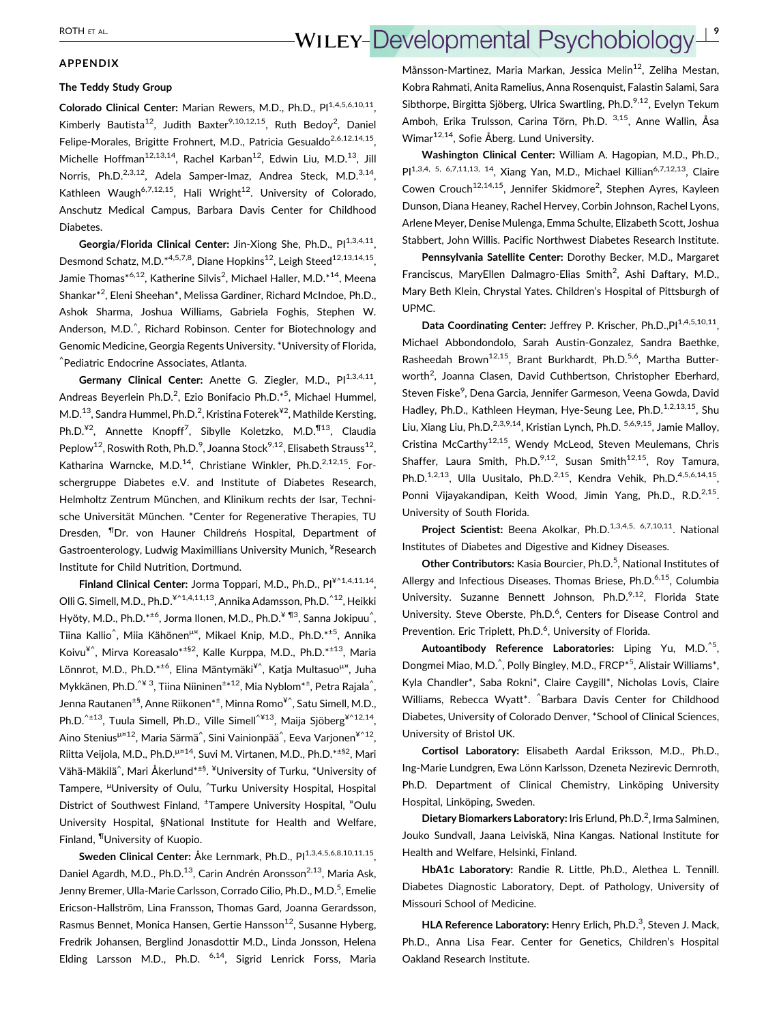# ROTH ET AL. **NOTHET AL. NOTHET AL.**  $\blacksquare$  **NOTHET AL.**  $\blacksquare$  **Developmental**  $\blacksquare$  **Psychobiology**

#### APPENDIX

#### The Teddy Study Group

Colorado Clinical Center: Marian Rewers, M.D., Ph.D., Pl<sup>1,4,5,6,10,11</sup> Kimberly Bautista<sup>12</sup>, Judith Baxter<sup>9,10,12,15</sup>, Ruth Bedoy<sup>2</sup>, Daniel Felipe-Morales, Brigitte Frohnert, M.D., Patricia Gesualdo<sup>2,6,12,14,15</sup> Michelle Hoffman<sup>12,13,14</sup>, Rachel Karban<sup>12</sup>, Edwin Liu, M.D.<sup>13</sup>, Jill Norris, Ph.D.<sup>2,3,12</sup>, Adela Samper-Imaz, Andrea Steck, M.D.<sup>3,14</sup>, Kathleen Waugh<sup>6,7,12,15</sup>, Hali Wright<sup>12</sup>. University of Colorado, Anschutz Medical Campus, Barbara Davis Center for Childhood Diabetes.

Georgia/Florida Clinical Center: Jin-Xiong She, Ph.D.,  $PI^{1,3,4,11}$ Desmond Schatz, M.D.\*4,5,7,8, Diane Hopkins<sup>12</sup>, Leigh Steed<sup>12,13,14,15</sup> Jamie Thomas\*<sup>6,12</sup>, Katherine Silvis<sup>2</sup>, Michael Haller, M.D.\*<sup>14</sup>, Meena Shankar\*2 , Eleni Sheehan\*, Melissa Gardiner, Richard McIndoe, Ph.D., Ashok Sharma, Joshua Williams, Gabriela Foghis, Stephen W. Anderson, M.D.^, Richard Robinson. Center for Biotechnology and Genomic Medicine, Georgia Regents University. \*University of Florida, ^ Pediatric Endocrine Associates, Atlanta.

Germany Clinical Center: Anette G. Ziegler, M.D., Pl<sup>1,3,4,11</sup>, Andreas Beyerlein Ph.D.<sup>2</sup>, Ezio Bonifacio Ph.D.\*<sup>5</sup>, Michael Hummel, M.D.<sup>13</sup>, Sandra Hummel, Ph.D.<sup>2</sup>, Kristina Foterek<sup>¥2</sup>, Mathilde Kersting, Ph.D.<sup>¥2</sup>, Annette Knopff<sup>7</sup>, Sibylle Koletzko, M.D.<sup>¶13</sup>, Claudia Peplow<sup>12</sup>, Roswith Roth, Ph.D.<sup>9</sup>, Joanna Stock<sup>9,12</sup>, Elisabeth Strauss<sup>12</sup>, Katharina Warncke, M.D.<sup>14</sup>, Christiane Winkler, Ph.D.<sup>2,12,15</sup>. Forschergruppe Diabetes e.V. and Institute of Diabetes Research, Helmholtz Zentrum München, and Klinikum rechts der Isar, Technische Universität München. \*Center for Regenerative Therapies, TU Dresden, <sup>¶</sup>Dr. von Hauner Children<sup>s</sup> Hospital, Department of Gastroenterology, Ludwig Maximillians University Munich, <sup>¥</sup>Research Institute for Child Nutrition, Dortmund.

Finland Clinical Center: Jorma Toppari, M.D., Ph.D., Pl<sup>¥^1,4,11,14</sup>, Olli G. Simell, M.D., Ph.D.<sup>¥^1,4,11,13</sup>, Annika Adamsson, Ph.D.<sup>^12</sup>, Heikki Hyöty, M.D., Ph.D.\*<sup>±6</sup>, Jorma Ilonen, M.D., Ph.D.<sup>¥¶3</sup>, Sanna Jokipuu<sup>^</sup>, Tiina Kallio^, Miia Kähönen<sup>µ¤</sup>, Mikael Knip, M.D., Ph.D.\*<sup>±5</sup>, Annika Koivu¥^, Mirva Koreasalo\*±§2, Kalle Kurppa, M.D., Ph.D.\*±13, Maria Lönnrot, M.D., Ph.D.\*<sup>±6</sup>, Elina Mäntymäki<sup>¥^</sup>, Katja Multasuo<sup>µ¤</sup>, Juha Mykkänen, Ph.D.<sup>^¥ 3</sup>, Tiina Niininen<sup>±\*12</sup>, Mia Nyblom<sup>\*±</sup>, Petra Rajala<sup>^</sup>, Jenna Rautanen±§, Anne Riikonen\*± , Minna Romo¥^, Satu Simell, M.D., Ph.D.<sup>^±13</sup>, Tuula Simell, Ph.D., Ville Simell<sup>^¥13</sup>, Maija Sjöberg<sup>¥^12,14</sup>, Aino Stenius<sup>µ¤12</sup>, Maria Särmä^, Sini Vainionpää^, Eeva Varjonen<sup>¥^12</sup>, Riitta Veijola, M.D., Ph.D.<sup>µ¤14</sup>, Suvi M. Virtanen, M.D., Ph.D.<sup>\*±§2</sup>, Mari Vähä-Mäkilä^, Mari Åkerlund\*<sup>±§</sup>. <sup>¥</sup>University of Turku, \*University of Tampere, <sup>µ</sup>University of Oulu, ^Turku University Hospital, Hospital District of Southwest Finland, <sup>±</sup>Tampere University Hospital, <sup>¤</sup>Oulu University Hospital, §National Institute for Health and Welfare, Finland, ¶University of Kuopio.

Sweden Clinical Center: Åke Lernmark, Ph.D., Pl<sup>1,3,4,5,6,8,10,11,15</sup>, Daniel Agardh, M.D., Ph.D.<sup>13</sup>, Carin Andrén Aronsson<sup>2,13</sup>, Maria Ask, Jenny Bremer, Ulla-Marie Carlsson, Corrado Cilio, Ph.D., M.D.<sup>5</sup>, Emelie Ericson-Hallström, Lina Fransson, Thomas Gard, Joanna Gerardsson, Rasmus Bennet, Monica Hansen, Gertie Hansson<sup>12</sup>, Susanne Hyberg, Fredrik Johansen, Berglind Jonasdottir M.D., Linda Jonsson, Helena Elding Larsson M.D., Ph.D. <sup>6,14</sup>, Sigrid Lenrick Forss, Maria Månsson-Martinez, Maria Markan, Jessica Melin<sup>12</sup>, Zeliha Mestan, Kobra Rahmati, Anita Ramelius, Anna Rosenquist, Falastin Salami, Sara Sibthorpe, Birgitta Sjöberg, Ulrica Swartling, Ph.D.<sup>9,12</sup>, Evelyn Tekum Amboh, Erika Trulsson, Carina Törn, Ph.D. <sup>3,15</sup>, Anne Wallin, Åsa Wimar<sup>12,14</sup>, Sofie Åberg. Lund University.

Washington Clinical Center: William A. Hagopian, M.D., Ph.D.,  $PI^{1,3,4, 5, 6,7,11,13, 14}$ . Xiang Yan, M.D., Michael Killian<sup>6,7,12,13</sup>, Claire Cowen Crouch<sup>12,14,15</sup>, Jennifer Skidmore<sup>2</sup>, Stephen Ayres, Kayleen Dunson, Diana Heaney, Rachel Hervey, Corbin Johnson, Rachel Lyons, Arlene Meyer, Denise Mulenga, Emma Schulte, Elizabeth Scott, Joshua Stabbert, John Willis. Pacific Northwest Diabetes Research Institute.

Pennsylvania Satellite Center: Dorothy Becker, M.D., Margaret Franciscus, MaryEllen Dalmagro-Elias Smith<sup>2</sup>, Ashi Daftary, M.D., Mary Beth Klein, Chrystal Yates. Children's Hospital of Pittsburgh of UPMC.

Data Coordinating Center: Jeffrey P. Krischer, Ph.D., Pl<sup>1,4,5,10,11</sup>, Michael Abbondondolo, Sarah Austin-Gonzalez, Sandra Baethke, Rasheedah Brown<sup>12,15</sup>, Brant Burkhardt, Ph.D.<sup>5,6</sup>, Martha Butterworth<sup>2</sup>, Joanna Clasen, David Cuthbertson, Christopher Eberhard, Steven Fiske<sup>9</sup>, Dena Garcia, Jennifer Garmeson, Veena Gowda, David Hadley, Ph.D., Kathleen Heyman, Hye-Seung Lee, Ph.D.<sup>1,2,13,15</sup>, Shu Liu, Xiang Liu, Ph.D.<sup>2,3,9,14</sup>, Kristian Lynch, Ph.D.<sup>5,6,9,15</sup>, Jamie Malloy, Cristina McCarthy<sup>12,15</sup>, Wendy McLeod, Steven Meulemans, Chris Shaffer, Laura Smith, Ph.D. $9.12$ , Susan Smith $12.15$ , Roy Tamura, Ph.D.<sup>1,2,13</sup>, Ulla Uusitalo, Ph.D.<sup>2,15</sup>, Kendra Vehik, Ph.D.<sup>4,5,6,14,15</sup>, Ponni Vijayakandipan, Keith Wood, Jimin Yang, Ph.D., R.D.<sup>2,15</sup>. University of South Florida.

Project Scientist: Beena Akolkar, Ph.D.<sup>1,3,4,5, 6,7,10,11</sup>. National Institutes of Diabetes and Digestive and Kidney Diseases.

Other Contributors: Kasia Bourcier, Ph.D.<sup>5</sup>, National Institutes of Allergy and Infectious Diseases. Thomas Briese, Ph.D.<sup>6,15</sup>, Columbia University. Suzanne Bennett Johnson, Ph.D.<sup>9,12</sup>, Florida State University. Steve Oberste, Ph.D.<sup>6</sup>, Centers for Disease Control and Prevention. Eric Triplett, Ph.D.<sup>6</sup>, University of Florida.

Autoantibody Reference Laboratories: Liping Yu, M.D.<sup>^5</sup>, Dongmei Miao, M.D.<sup>^</sup>, Polly Bingley, M.D., FRCP<sup>\*5</sup>, Alistair Williams<sup>\*</sup>, Kyla Chandler\*, Saba Rokni\*, Claire Caygill\*, Nicholas Lovis, Claire Williams, Rebecca Wyatt\*. ^ Barbara Davis Center for Childhood Diabetes, University of Colorado Denver, \*School of Clinical Sciences, University of Bristol UK.

Cortisol Laboratory: Elisabeth Aardal Eriksson, M.D., Ph.D., Ing-Marie Lundgren, Ewa Lönn Karlsson, Dzeneta Nezirevic Dernroth, Ph.D. Department of Clinical Chemistry, Linköping University Hospital, Linköping, Sweden.

Dietary Biomarkers Laboratory: Iris Erlund, Ph.D.<sup>2</sup>, Irma Salminen, Jouko Sundvall, Jaana Leiviskä, Nina Kangas. National Institute for Health and Welfare, Helsinki, Finland.

HbA1c Laboratory: Randie R. Little, Ph.D., Alethea L. Tennill. Diabetes Diagnostic Laboratory, Dept. of Pathology, University of Missouri School of Medicine.

HLA Reference Laboratory: Henry Erlich, Ph.D.<sup>3</sup>, Steven J. Mack, Ph.D., Anna Lisa Fear. Center for Genetics, Children's Hospital Oakland Research Institute.